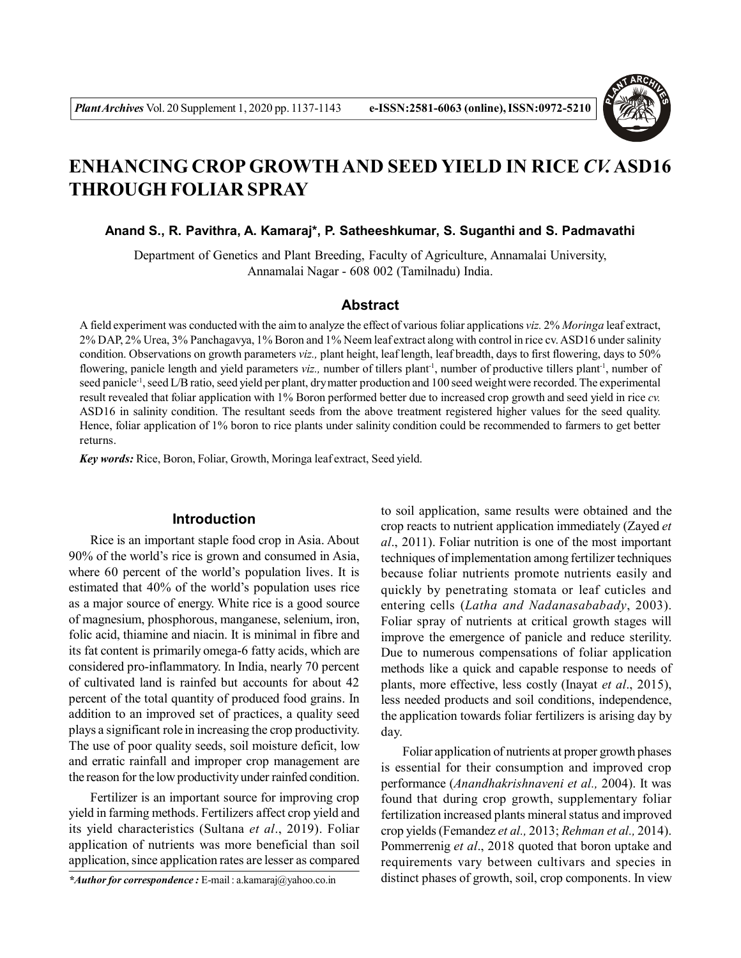

# **ENHANCING CROP GROWTH AND SEED YIELD IN RICE** *CV.* **ASD16 THROUGH FOLIAR SPRAY**

**Anand S., R. Pavithra, A. Kamaraj\*, P. Satheeshkumar, S. Suganthi and S. Padmavathi**

Department of Genetics and Plant Breeding, Faculty of Agriculture, Annamalai University, Annamalai Nagar - 608 002 (Tamilnadu) India.

#### **Abstract**

A field experiment was conducted with the aim to analyze the effect of various foliar applications *viz.* 2% *Moringa* leaf extract, 2% DAP, 2% Urea, 3% Panchagavya, 1% Boron and 1% Neem leaf extract along with control in rice cv. ASD16 under salinity condition. Observations on growth parameters *viz.,* plant height, leaf length, leaf breadth, days to first flowering, days to 50% flowering, panicle length and yield parameters *viz.*, number of tillers plant<sup>-1</sup>, number of productive tillers plant<sup>-1</sup>, number of seed panicle<sup>-1</sup>, seed L/B ratio, seed yield per plant, dry matter production and 100 seed weight were recorded. The experimental result revealed that foliar application with 1% Boron performed better due to increased crop growth and seed yield in rice *cv.* ASD16 in salinity condition. The resultant seeds from the above treatment registered higher values for the seed quality. Hence, foliar application of 1% boron to rice plants under salinity condition could be recommended to farmers to get better returns.

*Key words:* Rice, Boron, Foliar, Growth, Moringa leaf extract, Seed yield.

# **Introduction**

Rice is an important staple food crop in Asia. About 90% of the world's rice is grown and consumed in Asia, where 60 percent of the world's population lives. It is estimated that 40% of the world's population uses rice as a major source of energy. White rice is a good source of magnesium, phosphorous, manganese, selenium, iron, folic acid, thiamine and niacin. It is minimal in fibre and its fat content is primarily omega-6 fatty acids, which are considered pro-inflammatory. In India, nearly 70 percent of cultivated land is rainfed but accounts for about 42 percent of the total quantity of produced food grains. In addition to an improved set of practices, a quality seed plays a significant role in increasing the crop productivity. The use of poor quality seeds, soil moisture deficit, low and erratic rainfall and improper crop management are the reason for the low productivity under rainfed condition.

Fertilizer is an important source for improving crop yield in farming methods. Fertilizers affect crop yield and its yield characteristics (Sultana *et al*., 2019). Foliar application of nutrients was more beneficial than soil application, since application rates are lesser as compared

*\*Author for correspondence :* E-mail : a.kamaraj@yahoo.co.in

to soil application, same results were obtained and the crop reacts to nutrient application immediately (Zayed *et al*., 2011). Foliar nutrition is one of the most important techniques of implementation among fertilizer techniques because foliar nutrients promote nutrients easily and quickly by penetrating stomata or leaf cuticles and entering cells (*Latha and Nadanasababady*, 2003). Foliar spray of nutrients at critical growth stages will improve the emergence of panicle and reduce sterility. Due to numerous compensations of foliar application methods like a quick and capable response to needs of plants, more effective, less costly (Inayat *et al*., 2015), less needed products and soil conditions, independence, the application towards foliar fertilizers is arising day by day.

Foliar application of nutrients at proper growth phases is essential for their consumption and improved crop performance (*Anandhakrishnaveni et al.,* 2004). It was found that during crop growth, supplementary foliar fertilization increased plants mineral status and improved crop yields (Femandez *et al.,* 2013; *Rehman et al.,* 2014). Pommerrenig *et al*., 2018 quoted that boron uptake and requirements vary between cultivars and species in distinct phases of growth, soil, crop components. In view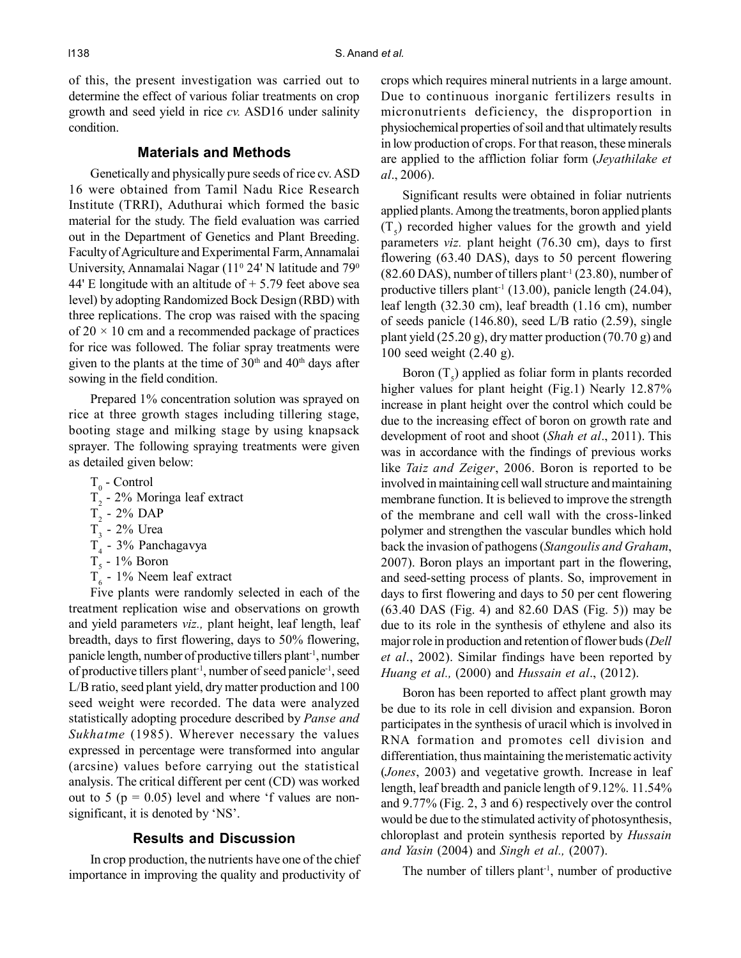of this, the present investigation was carried out to determine the effect of various foliar treatments on crop growth and seed yield in rice *cv.* ASD16 under salinity condition.

# **Materials and Methods**

Genetically and physically pure seeds of rice cv. ASD 16 were obtained from Tamil Nadu Rice Research Institute (TRRI), Aduthurai which formed the basic material for the study. The field evaluation was carried out in the Department of Genetics and Plant Breeding. Faculty of Agriculture and Experimental Farm, Annamalai University, Annamalai Nagar  $(11^{\circ} 24' N)$  latitude and  $79^{\circ}$ 44' E longitude with an altitude of  $+$  5.79 feet above sea level) by adopting Randomized Bock Design (RBD) with three replications. The crop was raised with the spacing of  $20 \times 10$  cm and a recommended package of practices for rice was followed. The foliar spray treatments were given to the plants at the time of  $30<sup>th</sup>$  and  $40<sup>th</sup>$  days after sowing in the field condition.

Prepared 1% concentration solution was sprayed on rice at three growth stages including tillering stage, booting stage and milking stage by using knapsack sprayer. The following spraying treatments were given as detailed given below:

- $T_{0}$  Control
- $T_2$  2% Moringa leaf extract
- $T_2$  2% DAP
- $T_{3}$  2% Urea
- $T_4$  3% Panchagavya
- $T_5$  1% Boron
- $T<sub>6</sub>$  1% Neem leaf extract

Five plants were randomly selected in each of the treatment replication wise and observations on growth and yield parameters *viz.,* plant height, leaf length, leaf breadth, days to first flowering, days to 50% flowering, panicle length, number of productive tillers plant-1, number of productive tillers plant-1, number of seed panicle-1, seed L/B ratio, seed plant yield, dry matter production and 100 seed weight were recorded. The data were analyzed statistically adopting procedure described by *Panse and Sukhatme* (1985). Wherever necessary the values expressed in percentage were transformed into angular (arcsine) values before carrying out the statistical analysis. The critical different per cent (CD) was worked out to 5 ( $p = 0.05$ ) level and where 'f values are nonsignificant, it is denoted by 'NS'.

### **Results and Discussion**

In crop production, the nutrients have one of the chief importance in improving the quality and productivity of crops which requires mineral nutrients in a large amount. Due to continuous inorganic fertilizers results in micronutrients deficiency, the disproportion in physiochemical properties of soil and that ultimately results in low production of crops. For that reason, these minerals are applied to the affliction foliar form (*Jeyathilake et al*., 2006).

Significant results were obtained in foliar nutrients applied plants. Among the treatments, boron applied plants  $(T<sub>s</sub>)$  recorded higher values for the growth and yield parameters *viz.* plant height (76.30 cm), days to first flowering (63.40 DAS), days to 50 percent flowering  $(82.60$  DAS), number of tillers plant<sup>-1</sup>  $(23.80)$ , number of productive tillers plant<sup>-1</sup> (13.00), panicle length (24.04), leaf length (32.30 cm), leaf breadth (1.16 cm), number of seeds panicle (146.80), seed L/B ratio (2.59), single plant yield (25.20 g), dry matter production (70.70 g) and 100 seed weight (2.40 g).

Boron  $(T<sub>5</sub>)$  applied as foliar form in plants recorded higher values for plant height (Fig.1) Nearly 12.87% increase in plant height over the control which could be due to the increasing effect of boron on growth rate and development of root and shoot (*Shah et al*., 2011). This was in accordance with the findings of previous works like *Taiz and Zeiger*, 2006. Boron is reported to be involved in maintaining cell wall structure and maintaining membrane function. It is believed to improve the strength of the membrane and cell wall with the cross-linked polymer and strengthen the vascular bundles which hold back the invasion of pathogens (*Stangoulis and Graham*, 2007). Boron plays an important part in the flowering, and seed-setting process of plants. So, improvement in days to first flowering and days to 50 per cent flowering (63.40 DAS (Fig. 4) and 82.60 DAS (Fig. 5)) may be due to its role in the synthesis of ethylene and also its major role in production and retention of flower buds (*Dell et al*., 2002). Similar findings have been reported by *Huang et al.,* (2000) and *Hussain et al*., (2012).

Boron has been reported to affect plant growth may be due to its role in cell division and expansion. Boron participates in the synthesis of uracil which is involved in RNA formation and promotes cell division and differentiation, thus maintaining the meristematic activity (*Jones*, 2003) and vegetative growth. Increase in leaf length, leaf breadth and panicle length of 9.12%. 11.54% and 9.77% (Fig. 2, 3 and 6) respectively over the control would be due to the stimulated activity of photosynthesis, chloroplast and protein synthesis reported by *Hussain and Yasin* (2004) and *Singh et al.,* (2007).

The number of tillers plant<sup>-1</sup>, number of productive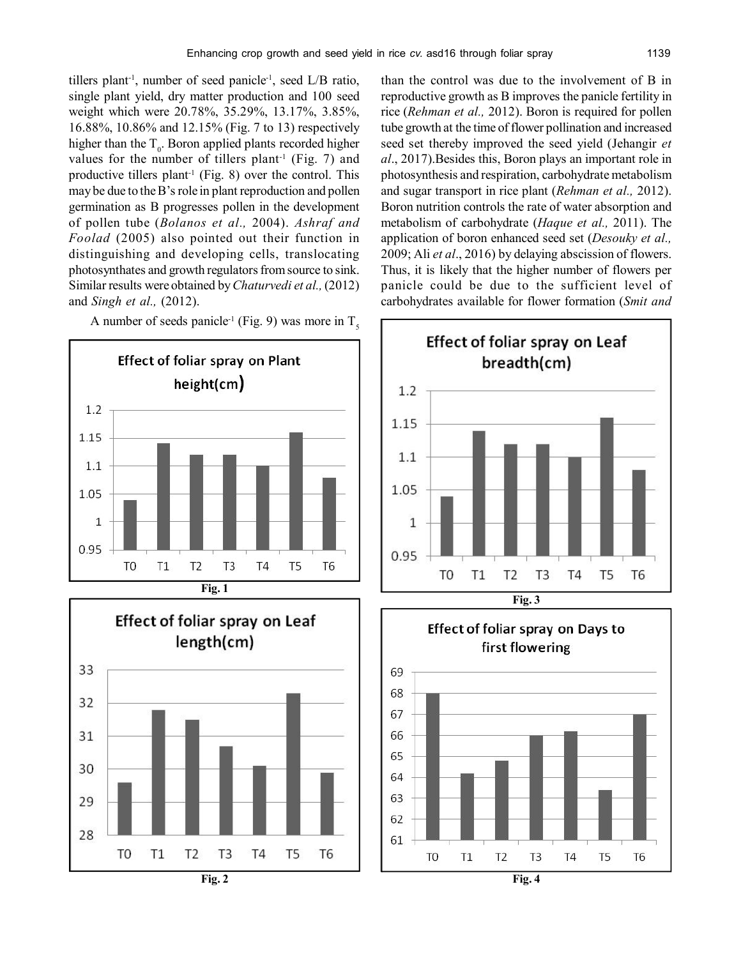tillers plant-1, number of seed panicle-1, seed L/B ratio, single plant yield, dry matter production and 100 seed weight which were 20.78%, 35.29%, 13.17%, 3.85%, 16.88%, 10.86% and 12.15% (Fig. 7 to 13) respectively higher than the  $T_0$ . Boron applied plants recorded higher values for the number of tillers plant<sup>-1</sup> (Fig. 7) and productive tillers plant<sup>-1</sup> (Fig. 8) over the control. This may be due to the B's role in plant reproduction and pollen germination as B progresses pollen in the development of pollen tube (*Bolanos et al.,* 2004). *Ashraf and Foolad* (2005) also pointed out their function in distinguishing and developing cells, translocating photosynthates and growth regulators from source to sink. Similar results were obtained by *Chaturvedi et al.,* (2012) and *Singh et al.,* (2012).



Effect of foliar spray on Leaf length(cm) 33 32 31 30 29 28 T<sub>0</sub>  $T1$ T<sub>2</sub> T<sub>3</sub> T<sub>4</sub> T5 T<sub>6</sub> than the control was due to the involvement of B in reproductive growth as B improves the panicle fertility in rice (*Rehman et al.,* 2012). Boron is required for pollen tube growth at the time of flower pollination and increased seed set thereby improved the seed yield (Jehangir *et al*., 2017).Besides this, Boron plays an important role in photosynthesis and respiration, carbohydrate metabolism and sugar transport in rice plant (*Rehman et al.,* 2012). Boron nutrition controls the rate of water absorption and metabolism of carbohydrate (*Haque et al.,* 2011). The application of boron enhanced seed set (*Desouky et al.,* 2009; Ali *et al*., 2016) by delaying abscission of flowers. Thus, it is likely that the higher number of flowers per panicle could be due to the sufficient level of carbohydrates available for flower formation (*Smit and*

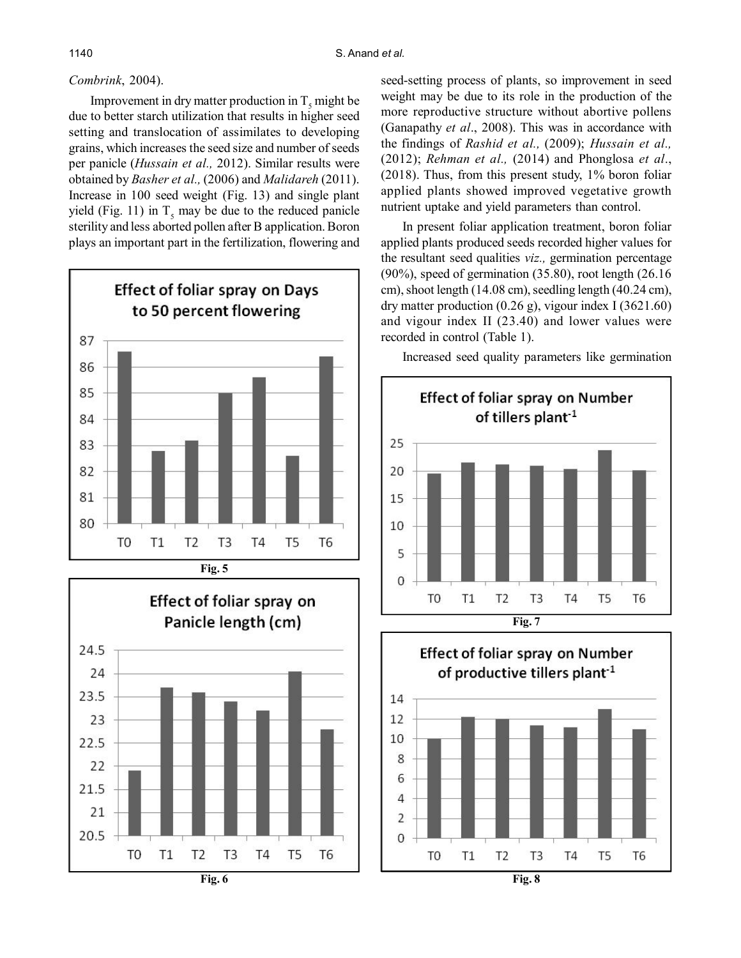### *Combrink*, 2004).

Improvement in dry matter production in  $T_s$  might be due to better starch utilization that results in higher seed setting and translocation of assimilates to developing grains, which increases the seed size and number of seeds per panicle (*Hussain et al.,* 2012). Similar results were obtained by *Basher et al.,* (2006) and *Malidareh* (2011). Increase in 100 seed weight (Fig. 13) and single plant yield (Fig. 11) in  $T_s$  may be due to the reduced panicle sterility and less aborted pollen after B application. Boron plays an important part in the fertilization, flowering and



Effect of foliar spray on Panicle length (cm) 24.5 24 23.5 23 22.5 22 21.5 21 20.5 T<sub>0</sub>  $T1$ T<sub>2</sub> T<sub>3</sub> T<sub>4</sub> T<sub>5</sub> T<sub>6</sub> **Fig. 6**

seed-setting process of plants, so improvement in seed weight may be due to its role in the production of the more reproductive structure without abortive pollens (Ganapathy *et al*., 2008). This was in accordance with the findings of *Rashid et al.,* (2009); *Hussain et al.,* (2012); *Rehman et al.,* (2014) and Phonglosa *et al*., (2018). Thus, from this present study, 1% boron foliar applied plants showed improved vegetative growth nutrient uptake and yield parameters than control.

In present foliar application treatment, boron foliar applied plants produced seeds recorded higher values for the resultant seed qualities *viz.,* germination percentage (90%), speed of germination (35.80), root length (26.16 cm), shoot length (14.08 cm), seedling length (40.24 cm), dry matter production  $(0.26 \text{ g})$ , vigour index I  $(3621.60)$ and vigour index II (23.40) and lower values were recorded in control (Table 1).

Increased seed quality parameters like germination



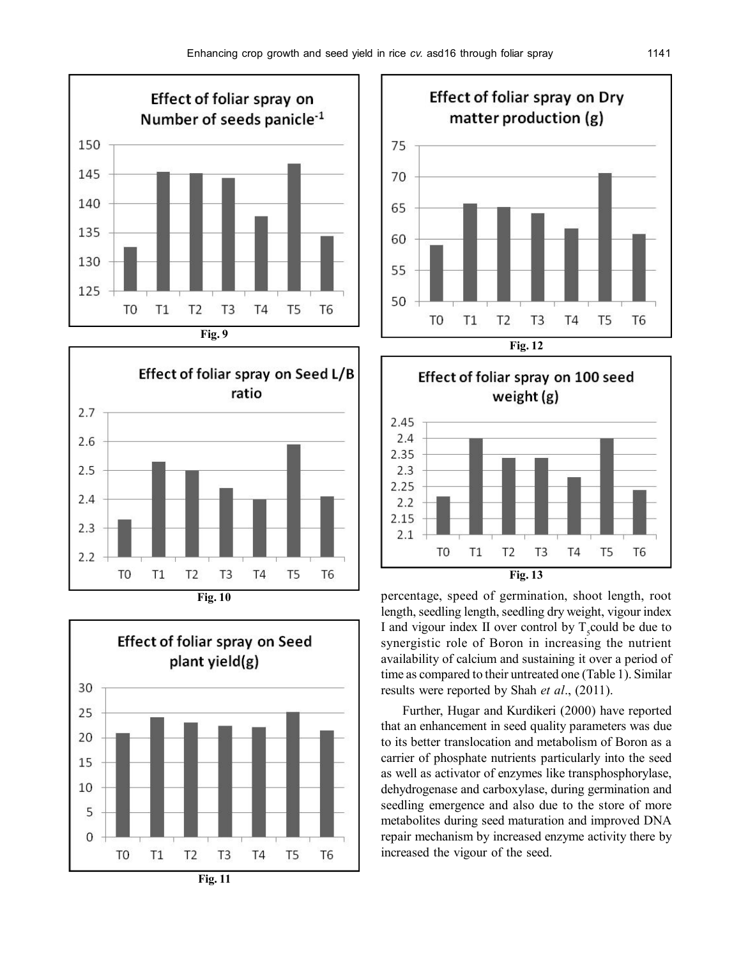2.25

 $2.2$ 2.15

 $2.1$ 

T<sub>0</sub>

 $T1$ 









percentage, speed of germination, shoot length, root length, seedling length, seedling dry weight, vigour index I and vigour index II over control by  $T<sub>s</sub>$  could be due to synergistic role of Boron in increasing the nutrient availability of calcium and sustaining it over a period of time as compared to their untreated one (Table 1). Similar results were reported by Shah *et al*., (2011).

**Fig. 13**

T<sub>3</sub>

T<sub>4</sub>

T<sub>5</sub>

T<sub>6</sub>

 $T<sub>2</sub>$ 

Further, Hugar and Kurdikeri (2000) have reported that an enhancement in seed quality parameters was due to its better translocation and metabolism of Boron as a carrier of phosphate nutrients particularly into the seed as well as activator of enzymes like transphosphorylase, dehydrogenase and carboxylase, during germination and seedling emergence and also due to the store of more metabolites during seed maturation and improved DNA repair mechanism by increased enzyme activity there by increased the vigour of the seed.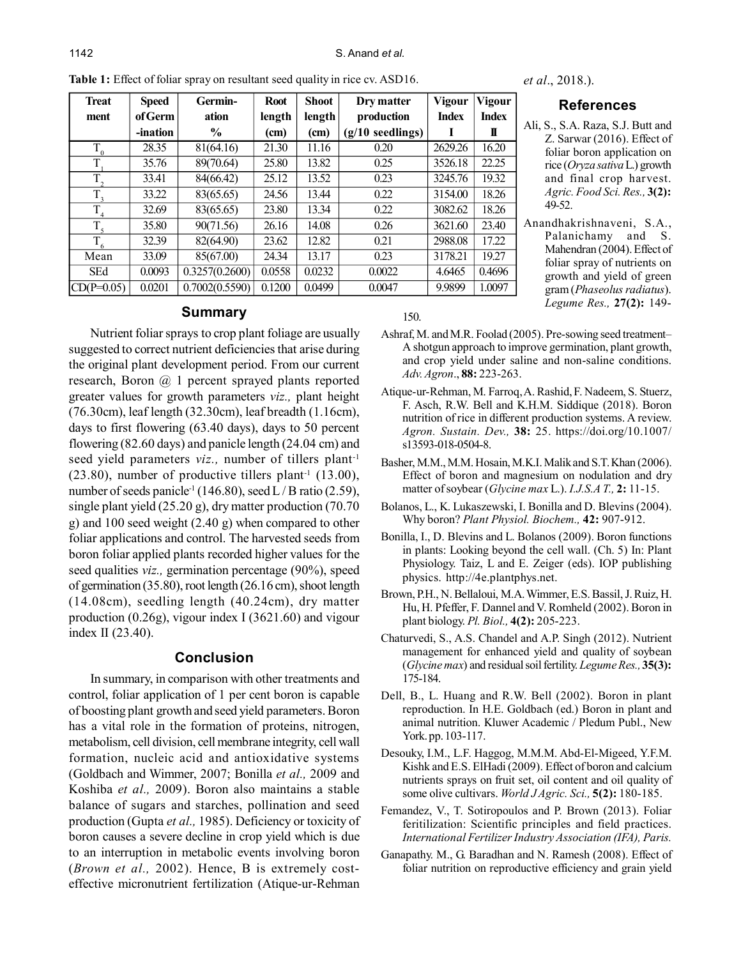| <b>Treat</b>     | <b>Speed</b> | Germin-        | <b>Root</b> | <b>Shoot</b> | Dry matter         | <b>Vigour</b> | <b>Vigour</b> |
|------------------|--------------|----------------|-------------|--------------|--------------------|---------------|---------------|
| ment             | of Germ      | ation          | length      | length       | production         | <b>Index</b>  | <b>Index</b>  |
|                  | -ination     | $\frac{6}{10}$ | (cm)        | (cm)         | $(g/10$ seedlings) |               | П             |
| $\overline{T}_0$ | 28.35        | 81(64.16)      | 21.30       | 11.16        | 0.20               | 2629.26       | 16.20         |
| T                | 35.76        | 89(70.64)      | 25.80       | 13.82        | 0.25               | 3526.18       | 22.25         |
| $T_{\gamma}$     | 33.41        | 84(66.42)      | 25.12       | 13.52        | 0.23               | 3245.76       | 19.32         |
| $T_{\rm a}$      | 33.22        | 83(65.65)      | 24.56       | 13.44        | 0.22               | 3154.00       | 18.26         |
| T                | 32.69        | 83(65.65)      | 23.80       | 13.34        | 0.22               | 3082.62       | 18.26         |
| $T_{\epsilon}$   | 35.80        | 90(71.56)      | 26.16       | 14.08        | 0.26               | 3621.60       | 23.40         |
| $T_6$            | 32.39        | 82(64.90)      | 23.62       | 12.82        | 0.21               | 2988.08       | 17.22         |
| Mean             | 33.09        | 85(67.00)      | 24.34       | 13.17        | 0.23               | 3178.21       | 19.27         |
| <b>SEd</b>       | 0.0093       | 0.3257(0.2600) | 0.0558      | 0.0232       | 0.0022             | 4.6465        | 0.4696        |
| $CD(P=0.05)$     | 0.0201       | 0.7002(0.5590) | 0.1200      | 0.0499       | 0.0047             | 9.9899        | 1.0097        |

#### **Table 1:** Effect of foliar spray on resultant seed quality in rice cv. ASD16.

# *et al*., 2018.).

#### **References**

- Ali, S., S.A. Raza, S.J. Butt and Z. Sarwar (2016). Effect of foliar boron application on rice (*Oryza sativa* L.) growth and final crop harvest. *Agric. Food Sci. Res.,* **3(2):** 49-52.
- Anandhakrishnaveni, S.A., Palanichamy and S. Mahendran (2004). Effect of foliar spray of nutrients on growth and yield of green gram (*Phaseolus radiatus*). *Legume Res.,* **27(2):** 149-

# **Summary**

Nutrient foliar sprays to crop plant foliage are usually suggested to correct nutrient deficiencies that arise during the original plant development period. From our current research, Boron @ 1 percent sprayed plants reported greater values for growth parameters *viz.,* plant height (76.30cm), leaf length (32.30cm), leaf breadth (1.16cm), days to first flowering (63.40 days), days to 50 percent flowering (82.60 days) and panicle length (24.04 cm) and seed yield parameters *viz.*, number of tillers plant<sup>-1</sup>  $(23.80)$ , number of productive tillers plant<sup>-1</sup>  $(13.00)$ , number of seeds panicle<sup>-1</sup> (146.80), seed L / B ratio (2.59), single plant yield (25.20 g), dry matter production (70.70 g) and 100 seed weight (2.40 g) when compared to other foliar applications and control. The harvested seeds from boron foliar applied plants recorded higher values for the seed qualities *viz.,* germination percentage (90%), speed of germination (35.80), root length (26.16 cm), shoot length (14.08cm), seedling length (40.24cm), dry matter production (0.26g), vigour index I (3621.60) and vigour index II (23.40).

# **Conclusion**

In summary, in comparison with other treatments and control, foliar application of 1 per cent boron is capable of boosting plant growth and seed yield parameters. Boron has a vital role in the formation of proteins, nitrogen, metabolism, cell division, cell membrane integrity, cell wall formation, nucleic acid and antioxidative systems (Goldbach and Wimmer, 2007; Bonilla *et al.,* 2009 and Koshiba *et al.,* 2009). Boron also maintains a stable balance of sugars and starches, pollination and seed production (Gupta *et al.,* 1985). Deficiency or toxicity of boron causes a severe decline in crop yield which is due to an interruption in metabolic events involving boron (*Brown et al.,* 2002). Hence, B is extremely costeffective micronutrient fertilization (Atique-ur-Rehman

150.

- Ashraf, M. and M.R. Foolad (2005). Pre-sowing seed treatment– A shotgun approach to improve germination, plant growth, and crop yield under saline and non-saline conditions. *Adv. Agron*., **88:** 223-263.
- Atique-ur-Rehman, M. Farroq, A. Rashid, F. Nadeem, S. Stuerz, F. Asch, R.W. Bell and K.H.M. Siddique (2018). Boron nutrition of rice in different production systems. A review. *Agron. Sustain. Dev.,* **38:** 25. https://doi.org/10.1007/ s13593-018-0504-8.
- Basher, M.M., M.M. Hosain, M.K.I. Malik and S.T. Khan (2006). Effect of boron and magnesium on nodulation and dry matter of soybear (*Glycine max* L.). *I.J.S.A T.,* **2:** 11-15.
- Bolanos, L., K. Lukaszewski, I. Bonilla and D. Blevins (2004). Why boron? *Plant Physiol. Biochem.,* **42:** 907-912.
- Bonilla, I., D. Blevins and L. Bolanos (2009). Boron functions in plants: Looking beyond the cell wall. (Ch. 5) In: Plant Physiology. Taiz, L and E. Zeiger (eds). IOP publishing physics. http://4e.plantphys.net.
- Brown, P.H., N. Bellaloui, M.A. Wimmer, E.S. Bassil, J. Ruiz, H. Hu, H. Pfeffer, F. Dannel and V. Romheld (2002). Boron in plant biology. *Pl. Biol.,* **4(2):** 205-223.
- Chaturvedi, S., A.S. Chandel and A.P. Singh (2012). Nutrient management for enhanced yield and quality of soybean (*Glycine max*) and residual soil fertility. *Legume Res.,* **35(3):** 175-184.
- Dell, B., L. Huang and R.W. Bell (2002). Boron in plant reproduction. In H.E. Goldbach (ed.) Boron in plant and animal nutrition. Kluwer Academic / Pledum Publ., New York. pp. 103-117.
- Desouky, I.M., L.F. Haggog, M.M.M. Abd-El-Migeed, Y.F.M. Kishk and E.S. ElHadi (2009). Effect of boron and calcium nutrients sprays on fruit set, oil content and oil quality of some olive cultivars. *World J Agric. Sci.,* **5(2):** 180-185.
- Femandez, V., T. Sotiropoulos and P. Brown (2013). Foliar feritilization: Scientific principles and field practices. *International Fertilizer Industry Association (IFA), Paris.*
- Ganapathy. M., G. Baradhan and N. Ramesh (2008). Effect of foliar nutrition on reproductive efficiency and grain yield